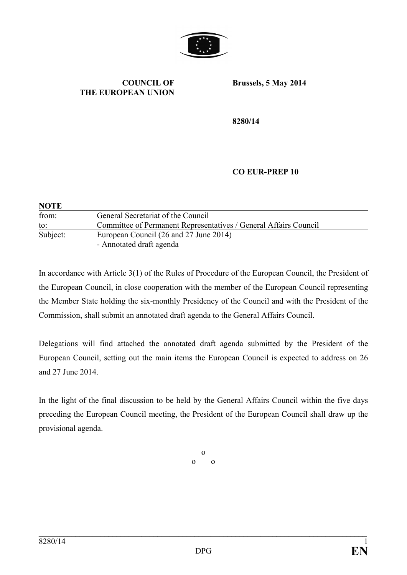

#### **COUNCIL OF THE EUROPEAN UNION**

**Brussels, 5 May 2014**

**8280/14**

#### **CO EUR-PREP 10**

| <b>NOTE</b> |                                                                  |  |
|-------------|------------------------------------------------------------------|--|
| from:       | General Secretariat of the Council                               |  |
| to:         | Committee of Permanent Representatives / General Affairs Council |  |
| Subject:    | European Council (26 and 27 June 2014)                           |  |
|             | - Annotated draft agenda                                         |  |

In accordance with Article 3(1) of the Rules of Procedure of the European Council, the President of the European Council, in close cooperation with the member of the European Council representing the Member State holding the six-monthly Presidency of the Council and with the President of the Commission, shall submit an annotated draft agenda to the General Affairs Council.

Delegations will find attached the annotated draft agenda submitted by the President of the European Council, setting out the main items the European Council is expected to address on 26 and 27 June 2014.

In the light of the final discussion to be held by the General Affairs Council within the five days preceding the European Council meeting, the President of the European Council shall draw up the provisional agenda.

> o o o

\_\_\_\_\_\_\_\_\_\_\_\_\_\_\_\_\_\_\_\_\_\_\_\_\_\_\_\_\_\_\_\_\_\_\_\_\_\_\_\_\_\_\_\_\_\_\_\_\_\_\_\_\_\_\_\_\_\_\_\_\_\_\_\_\_\_\_\_\_\_\_\_\_\_\_\_\_\_\_\_